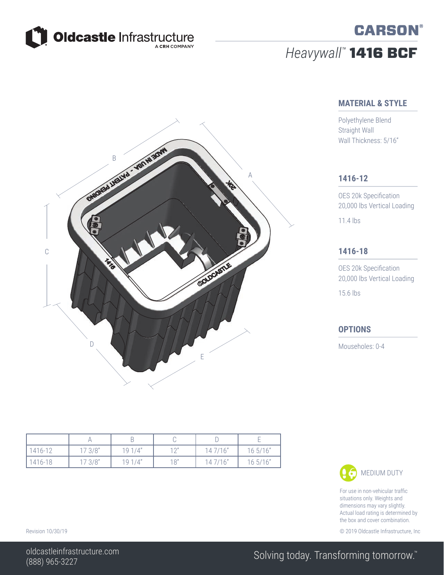

# *Heavywall™* 1416 BCF

#### **MATERIAL & STYLE**

**CARSON®** 

Polyethylene Blend Straight Wall Wall Thickness: 5/16"

#### **1416-12**

OES 20k Specification 20,000 lbs Vertical Loading 11.4 lbs

#### **1416-18**

OES 20k Specification 20,000 lbs Vertical Loading 15.6 lbs

#### **OPTIONS**

Mouseholes: 0-4

| 1416-12 | 173/8" | 191/4" | $1^{\prime}$ | 147/16" | 16 5/16" |
|---------|--------|--------|--------------|---------|----------|
| 1416-18 | 173/8" | 191/4" | 18"          | 147/16" | 16 5/16" |

### MEDIUM DUTY

For use in non-vehicular traffic situations only. Weights and dimensions may vary slightly. Actual load rating is determined by the box and cover combination.

Revision 10/30/19 **Conserversion 2019 Oldcastle Infrastructure**, Inc. Conserversion 2019 Oldcastle Infrastructure, Inc.